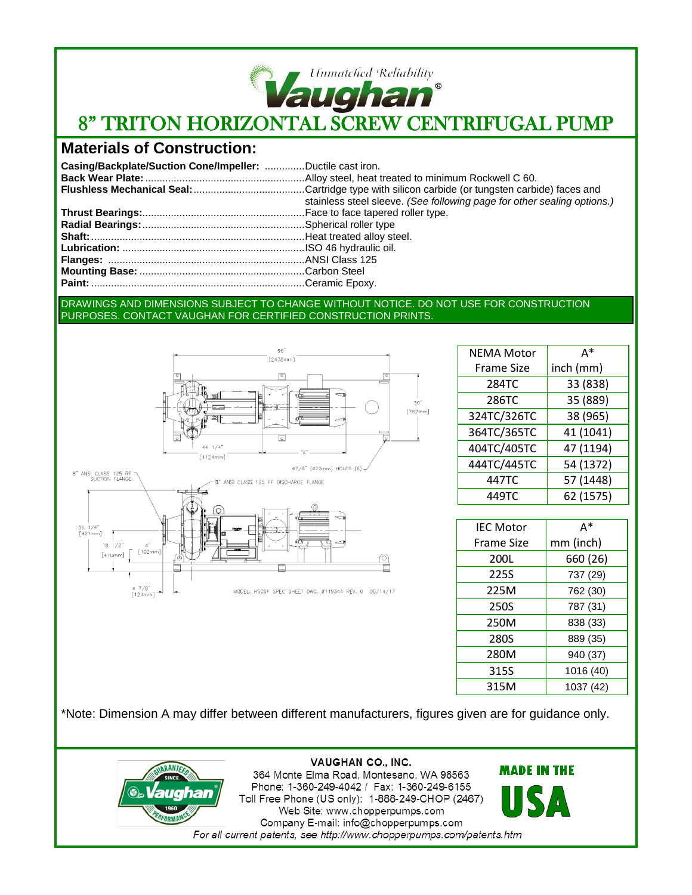

# 8" TRITON HORIZONTAL SCREW CENTRIFUGAL PUMP

## **Materials of Construction:**

| Casing/Backplate/Suction Cone/Impeller: Ductile cast iron. |                                                                         |
|------------------------------------------------------------|-------------------------------------------------------------------------|
|                                                            |                                                                         |
|                                                            |                                                                         |
|                                                            | stainless steel sleeve. (See following page for other sealing options.) |
|                                                            |                                                                         |
|                                                            |                                                                         |
|                                                            |                                                                         |
|                                                            |                                                                         |
|                                                            |                                                                         |
|                                                            |                                                                         |
|                                                            |                                                                         |

#### DRAWINGS AND DIMENSIONS SUBJECT TO CHANGE WITHOUT NOTICE. DO NOT USE FOR CONSTRUCTION PURPOSES. CONTACT VAUGHAN FOR CERTIFIED CONSTRUCTION PRINTS.



| <b>NEMA Motor</b> | A*        |
|-------------------|-----------|
| <b>Frame Size</b> | inch (mm) |
| 284TC             | 33 (838)  |
| 286TC             | 35 (889)  |
| 324TC/326TC       | 38 (965)  |
| 364TC/365TC       | 41 (1041) |
| 404TC/405TC       | 47 (1194) |
| 444TC/445TC       | 54 (1372) |
| 447TC             | 57 (1448) |
| 449TC             | 62 (1575) |
|                   |           |

Г

| <b>IFC Motor</b>  | A*        |
|-------------------|-----------|
| <b>Frame Size</b> | mm (inch) |
| 200L              | 660 (26)  |
| 225S              | 737 (29)  |
| 225M              | 762 (30)  |
| 250S              | 787 (31)  |
| 250M              | 838 (33)  |
| 280S              | 889 (35)  |
| 280M              | 940 (37)  |
| 315S              | 1016 (40) |
| 315M              | 1037 (42) |

\*Note: Dimension A may differ between different manufacturers, figures given are for guidance only.

MODEL: HSC8F SPEC SHEET DWG. #119344 REV. 0 08/14/17



**VAUGHAN CO., INC.** 364 Monte Elma Road, Montesano, WA 98563 Phone: 1-360-249-4042 / Fax: 1-360-249-6155 Toll Free Phone (US only): 1-888-249-CHOP (2467) Web Site: www.chopperpumps.com Company E-mail: info@chopperpumps.com For all current patents, see http://www.chopperpumps.com/patents.htm